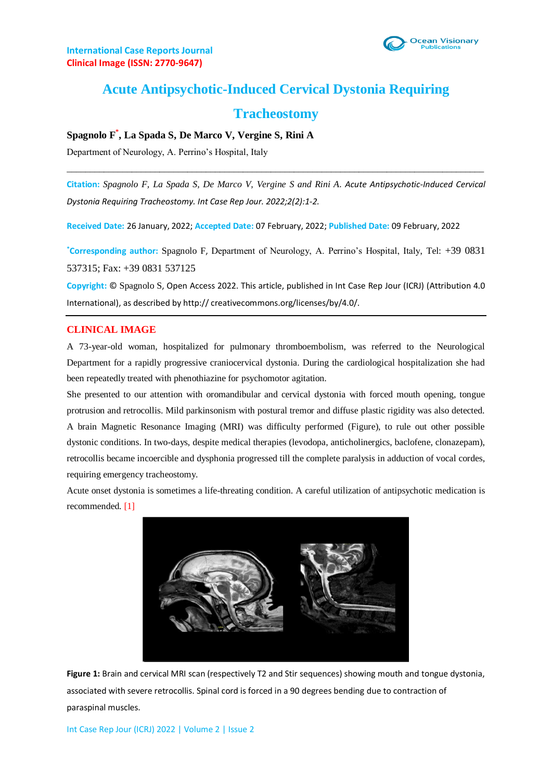

# **Acute Antipsychotic-Induced Cervical Dystonia Requiring**

## **Tracheostomy**

### **Spagnolo F\* , La Spada S, De Marco V, Vergine S, Rini A**

Department of Neurology, A. Perrino's Hospital, Italy

**Citation:** *Spagnolo F, La Spada S, De Marco V, Vergine S and Rini A. Acute Antipsychotic-Induced Cervical Dystonia Requiring Tracheostomy. Int Case Rep Jour. 2022;2(2):1-2.*

 $\_$  ,  $\_$  ,  $\_$  ,  $\_$  ,  $\_$  ,  $\_$  ,  $\_$  ,  $\_$  ,  $\_$  ,  $\_$  ,  $\_$  ,  $\_$  ,  $\_$  ,  $\_$  ,  $\_$  ,  $\_$  ,  $\_$  ,  $\_$  ,  $\_$  ,  $\_$  ,  $\_$  ,  $\_$  ,  $\_$  ,  $\_$  ,  $\_$  ,  $\_$  ,  $\_$  ,  $\_$  ,  $\_$  ,  $\_$  ,  $\_$  ,  $\_$  ,  $\_$  ,  $\_$  ,  $\_$  ,  $\_$  ,  $\_$  ,

**Received Date:** 26 January, 2022; **Accepted Date:** 07 February, 2022; **Published Date:** 09 February, 2022

**\*Corresponding author:** Spagnolo F, Department of Neurology, A. Perrino's Hospital, Italy, Tel: +39 0831 537315; Fax: +39 0831 537125

**Copyright:** © Spagnolo S, Open Access 2022. This article, published in Int Case Rep Jour (ICRJ) (Attribution 4.0 International), as described by http:// creativecommons.org/licenses/by/4.0/.

#### **CLINICAL IMAGE**

A 73-year-old woman, hospitalized for pulmonary thromboembolism, was referred to the Neurological Department for a rapidly progressive craniocervical dystonia. During the cardiological hospitalization she had been repeatedly treated with phenothiazine for psychomotor agitation.

She presented to our attention with oromandibular and cervical dystonia with forced mouth opening, tongue protrusion and retrocollis. Mild parkinsonism with postural tremor and diffuse plastic rigidity was also detected. A brain Magnetic Resonance Imaging (MRI) was difficulty performed (Figure), to rule out other possible dystonic conditions. In two-days, despite medical therapies (levodopa, anticholinergics, baclofene, clonazepam), retrocollis became incoercible and dysphonia progressed till the complete paralysis in adduction of vocal cordes, requiring emergency tracheostomy.

Acute onset dystonia is sometimes a life-threating condition. A careful utilization of antipsychotic medication is recommended. [1]



**Figure 1:** Brain and cervical MRI scan (respectively T2 and Stir sequences) showing mouth and tongue dystonia, associated with severe retrocollis. Spinal cord is forced in a 90 degrees bending due to contraction of paraspinal muscles.

Int Case Rep Jour (ICRJ) 2022 | Volume 2 | Issue 2